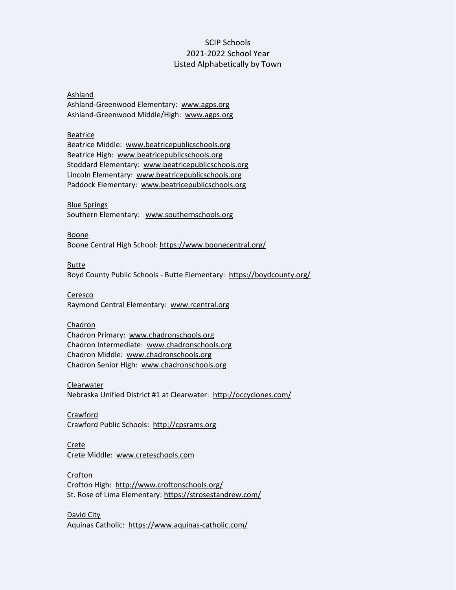# SCIP Schools 2021-2022 School Year Listed Alphabetically by Town

## Ashland

Ashland-Greenwood Elementary: [www.agps.org](http://www.agps.org/) Ashland-Greenwood Middle/High: [www.agps.org](http://www.agps.org/)

## Beatrice

Beatrice Middle: [www.beatricepublicschools.org](http://www.beatricepublicschools.org/) Beatrice High: [www.beatricepublicschools.org](http://www.beatricepublicschools.org/) Stoddard Elementary: [www.beatricepublicschools.org](http://www.beatricepublicschools.org/) Lincoln Elementary: [www.beatricepublicschools.org](http://www.beatricepublicschools.org/) Paddock Elementary: [www.beatricepublicschools.org](http://www.beatricepublicschools.org/)

#### Blue Springs

Southern Elementary: [www.southernschools.org](http://www.southernschools.org/)

Boone

Boone Central High School: https://www.boonecentral.org/

Butte

Boyd County Public Schools - Butte Elementary: <https://boydcounty.org/>

## Ceresco

Raymond Central Elementary: [www.rcentral.org](http://www.rcentral.org/)

## Chadron

Chadron Primary: [www.chadronschools.org](http://www.chadronschools.org/) Chadron Intermediate: [www.chadronschools.org](http://www.chadronschools.org/) Chadron Middle: [www.chadronschools.org](http://www.chadronschools.org/) Chadron Senior High: [www.chadronschools.org](http://www.chadronschools.org/)

## Clearwater

Nebraska Unified District #1 at Clearwater: <http://occyclones.com/>

Crawford Crawford Public Schools: [http://cpsrams.org](http://cpsrams.org/)

#### Crete

Crete Middle: [www.creteschools.com](http://www.creteschools.com/)

## Crofton

Crofton High: <http://www.croftonschools.org/> St. Rose of Lima Elementary: <https://strosestandrew.com/>

David City Aquinas Catholic: <https://www.aquinas-catholic.com/>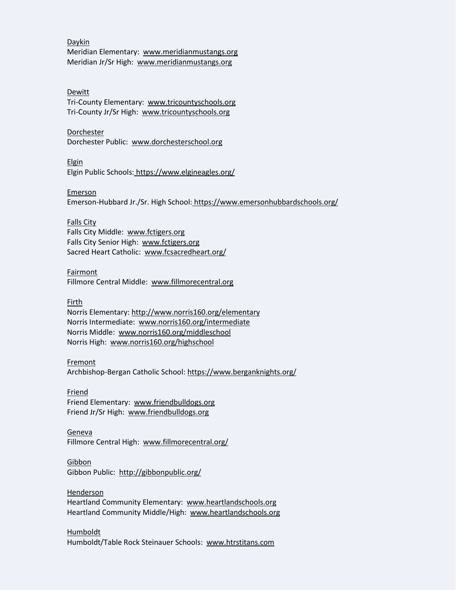#### Daykin Meridian Elementary: [www.meridianmustangs.org](http://www.meridianmustangs.org/) Meridian Jr/Sr High: [www.meridianmustangs.org](http://www.meridianmustangs.org/)

#### Dewitt

Tri-County Elementary: [www.tricountyschools.org](http://www.tricountyschools.org/) Tri-County Jr/Sr High: [www.tricountyschools.org](http://www.tricountyschools.org/)

#### Dorchester

Dorchester Public: [www.dorchesterschool.org](http://www.dorchesterschool.org/)

## Elgin

Elgin Public Schools: <https://www.elgineagles.org/>

## Emerson

Emerson-Hubbard Jr./Sr. High School: <https://www.emersonhubbardschools.org/>

## Falls City

Falls City Middle: [www.fctigers.org](http://www.fctigers.org/) Falls City Senior High: [www.fctigers.org](http://www.fctigers.org/) Sacred Heart Catholic: [www.fcsacredheart.org/](http://www.fcsacredheart.org/)

## Fairmont

Fillmore Central Middle: [www.fillmorecentral.org](http://www.fillmorecentral.org/)

## Firth

Norris Elementary[: http://www.norris160.org/elementary](http://www.norris160.org/elementary) Norris Intermediate: [www.norris160.org/intermediate](http://www.norris160.org/intermediate)  Norris Middle: [www.norris160.org/middleschool](http://www.norris160.org/middleschool) Norris High: [www.norris160.org/highschool](http://www.norris160.org/highschool)

## Fremont

Archbishop-Bergan Catholic School[: https://www.berganknights.org/](https://www.berganknights.org/)

## Friend

Friend Elementary: [www.friendbulldogs.org](http://www.friendbulldogs.org/) Friend Jr/Sr High: [www.friendbulldogs.org](http://www.friendbulldogs.org/)

## Geneva

Fillmore Central High: [www.fillmorecentral.org/](http://www.fillmorecentral.org/)

## Gibbon

Gibbon Public: <http://gibbonpublic.org/>

## Henderson

Heartland Community Elementary: [www.heartlandschools.org](http://www.heartlandschools.org/) Heartland Community Middle/High: [www.heartlandschools.org](http://www.heartlandschools.org/)

## Humboldt

Humboldt/Table Rock Steinauer Schools: [www.htrstitans.com](http://www.htrstitans.com/)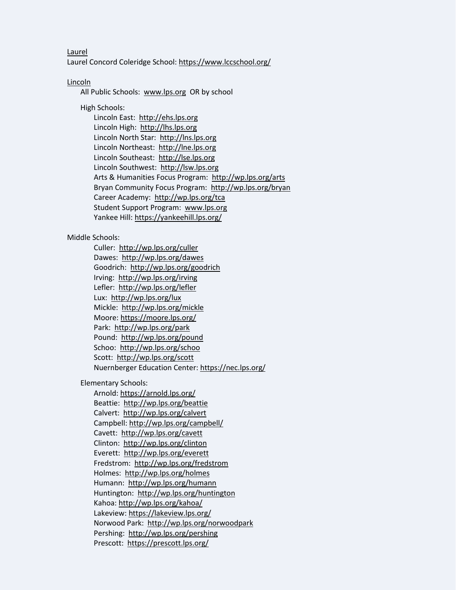Laurel Laurel Concord Coleridge School:<https://www.lccschool.org/>

Lincoln

All Public Schools: [www.lps.org](http://www.lps.org/) OR by school

High Schools:

Lincoln East: [http://ehs.lps.org](http://ehs.lps.org/) Lincoln High: [http://lhs.lps.org](http://lhs.lps.org/) Lincoln North Star: [http://lns.lps.org](http://lns.lps.org/) Lincoln Northeast: [http://lne.lps.org](http://lne.lps.org/) Lincoln Southeast: [http://lse.lps.org](http://lse.lps.org/) Lincoln Southwest: [http://lsw.lps.org](http://lsw.lps.org/) Arts & Humanities Focus Program:<http://wp.lps.org/arts> Bryan Community Focus Program: <http://wp.lps.org/bryan> Career Academy:<http://wp.lps.org/tca> Student Support Program: [www.lps.org](http://www.lps.org/)  Yankee Hill[: https://yankeehill.lps.org/](https://yankeehill.lps.org/)

## Middle Schools:

Culler: <http://wp.lps.org/culler> Dawes: <http://wp.lps.org/dawes> Goodrich: <http://wp.lps.org/goodrich> Irving: <http://wp.lps.org/irving> Lefler: <http://wp.lps.org/lefler> Lux: <http://wp.lps.org/lux> Mickle: <http://wp.lps.org/mickle> Moore[: https://moore.lps.org/](https://moore.lps.org/) Park: <http://wp.lps.org/park> Pound: <http://wp.lps.org/pound> Schoo: <http://wp.lps.org/schoo> Scott: <http://wp.lps.org/scott> Nuernberger Education Center[: https://nec.lps.org/](https://nec.lps.org/)

Elementary Schools:

Arnold[: https://arnold.lps.org/](https://arnold.lps.org/) Beattie: <http://wp.lps.org/beattie> Calvert:<http://wp.lps.org/calvert> Campbell[: http://wp.lps.org/campbell/](http://wp.lps.org/campbell/) Cavett: <http://wp.lps.org/cavett> Clinton: <http://wp.lps.org/clinton> Everett: <http://wp.lps.org/everett> Fredstrom: <http://wp.lps.org/fredstrom> Holmes: <http://wp.lps.org/holmes> Humann: <http://wp.lps.org/humann> Huntington: <http://wp.lps.org/huntington> Kahoa:<http://wp.lps.org/kahoa/> Lakeview[: https://lakeview.lps.org/](https://lakeview.lps.org/) Norwood Park: <http://wp.lps.org/norwoodpark> Pershing: <http://wp.lps.org/pershing> Prescott: <https://prescott.lps.org/>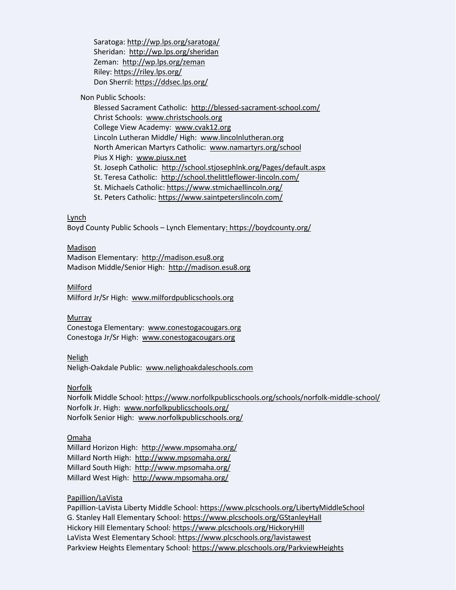Saratoga:<http://wp.lps.org/saratoga/> Sheridan: <http://wp.lps.org/sheridan> Zeman: <http://wp.lps.org/zeman> Riley: <https://riley.lps.org/> Don Sherril: <https://ddsec.lps.org/>

Non Public Schools:

Blessed Sacrament Catholic: <http://blessed-sacrament-school.com/> Christ Schools: [www.christschools.org](http://www.christschools.org/) College View Academy: [www.cvak12.org](http://www.cvak12.org/) Lincoln Lutheran Middle/ High: [www.lincolnlutheran.org](http://www.lincolnlutheran.org/) North American Martyrs Catholic: [www.namartyrs.org/school](http://www.namartyrs.org/school) Pius X High: [www.piusx.net](http://www.piusx.net/) St. Joseph Catholic: <http://school.stjosephlnk.org/Pages/default.aspx> St. Teresa Catholic: <http://school.thelittleflower-lincoln.com/> St. Michaels Catholic: <https://www.stmichaellincoln.org/> St. Peters Catholic[: https://www.saintpeterslincoln.com/](https://www.saintpeterslincoln.com/)

Lynch

Boyd County Public Schools – Lynch Elementary:<https://boydcounty.org/>

## Madison

Madison Elementary: [http://madison.esu8.org](http://madison.esu8.org/)  Madison Middle/Senior High: [http://madison.esu8.org](http://madison.esu8.org/)

#### Milford

Milford Jr/Sr High: [www.milfordpublicschools.org](http://www.milfordpublicschools.org/)

#### Murray

Conestoga Elementary: [www.conestogacougars.org](http://www.conestogacougars.org/)  Conestoga Jr/Sr High: [www.conestogacougars.org](http://www.conestogacougars.org/)

#### Neligh

Neligh-Oakdale Public: [www.nelighoakdaleschools.com](http://www.nelighoakdaleschools.com/)

Norfolk

Norfolk Middle School:<https://www.norfolkpublicschools.org/schools/norfolk-middle-school/> Norfolk Jr. High: [www.norfolkpublicschools.org/](http://www.norfolkpublicschools.org/) Norfolk Senior High: [www.norfolkpublicschools.org/](http://www.norfolkpublicschools.org/)

#### Omaha

Millard Horizon High: <http://www.mpsomaha.org/> Millard North High: <http://www.mpsomaha.org/> Millard South High: <http://www.mpsomaha.org/> Millard West High: <http://www.mpsomaha.org/>

## Papillion/LaVista

Papillion-LaVista Liberty Middle School[: https://www.plcschools.org/LibertyMiddleSchool](https://www.plcschools.org/LibertyMiddleSchool) G. Stanley Hall Elementary School: <https://www.plcschools.org/GStanleyHall> Hickory Hill Elementary School: <https://www.plcschools.org/HickoryHill> LaVista West Elementary School: <https://www.plcschools.org/lavistawest> Parkview Heights Elementary School: <https://www.plcschools.org/ParkviewHeights>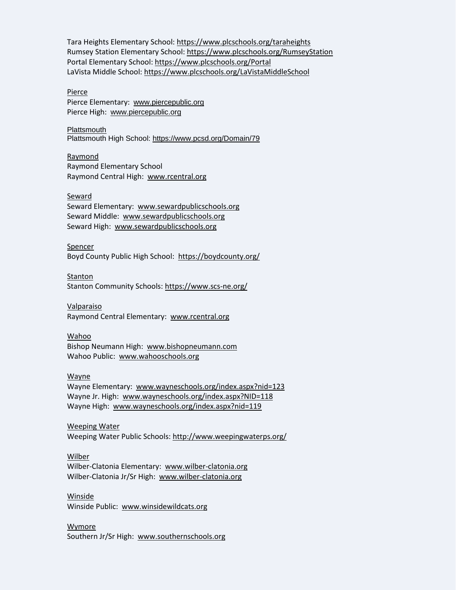Tara Heights Elementary School: <https://www.plcschools.org/taraheights> Rumsey Station Elementary School: <https://www.plcschools.org/RumseyStation> Portal Elementary School: <https://www.plcschools.org/Portal> LaVista Middle School:<https://www.plcschools.org/LaVistaMiddleSchool>

#### Pierce

Pierce Elementary: [www.piercepublic.org](http://www.piercepublic.org/) Pierce High: [www.piercepublic.org](http://www.piercepublic.org/)

#### **Plattsmouth**

Plattsmouth High School: <https://www.pcsd.org/Domain/79>

#### Raymond

Raymond Elementary School Raymond Central High: [www.rcentral.org](http://www.rcentral.org/)

#### Seward

Seward Elementary: [www.sewardpublicschools.org](http://www.sewardpublicschools.org/) Seward Middle: [www.sewardpublicschools.org](http://www.sewardpublicschools.org/) Seward High: [www.sewardpublicschools.org](http://www.sewardpublicschools.org/)

## Spencer

Boyd County Public High School: <https://boydcounty.org/>

#### **Stanton**

Stanton Community Schools: <https://www.scs-ne.org/>

#### Valparaiso

Raymond Central Elementary: [www.rcentral.org](http://www.rcentral.org/)

#### Wahoo

Bishop Neumann High: [www.bishopneumann.com](http://www.bishopneumann.com/) Wahoo Public: [www.wahooschools.org](http://www.wahooschools.org/)

#### Wayne

Wayne Elementary: [www.wayneschools.org/index.aspx?nid=123](http://www.wayneschools.org/index.aspx?nid=123)  Wayne Jr. High: [www.wayneschools.org/index.aspx?NID=118](http://www.wayneschools.org/index.aspx?NID=118) Wayne High: [www.wayneschools.org/index.aspx?nid=119](http://www.wayneschools.org/index.aspx?nid=119)

#### Weeping Water

Weeping Water Public Schools:<http://www.weepingwaterps.org/>

#### Wilber

Wilber-Clatonia Elementary: [www.wilber-clatonia.org](http://www.wilber-clatonia.org/) Wilber-Clatonia Jr/Sr High: [www.wilber-clatonia.org](http://www.wilber-clatonia.org/)

#### Winside

Winside Public: [www.winsidewildcats.org](http://www.winsidewildcats.org/)

#### Wymore

Southern Jr/Sr High: [www.southernschools.org](http://www.southernschools.org/)